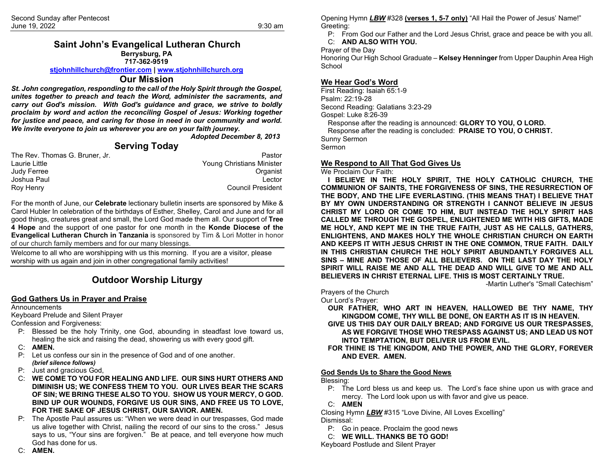### **Saint John's Evangelical Lutheran Church Berrysburg, PA 717-362-9519**

#### **[stjohnhillchurch@frontier.com](mailto:stjohnhillchurch@frontier.com) | [www.stjohnhillchurch.org](http://www.stjohnhillchurch.org/)**

# **Our Mission**

*St. John congregation, responding to the call of the Holy Spirit through the Gospel, unites together to preach and teach the Word, administer the sacraments, and carry out God's mission. With God's guidance and grace, we strive to boldly proclaim by word and action the reconciling Gospel of Jesus: Working together for justice and peace, and caring for those in need in our community and world. We invite everyone to join us wherever you are on your faith journey.*

*Adopted December 8, 2013*

## **Serving Today**

| The Rev. Thomas G. Bruner. Jr. | Pastor                    |
|--------------------------------|---------------------------|
| Laurie Little                  | Young Christians Minister |
| Judy Ferree                    | Organist                  |
| Joshua Paul                    | Lector                    |
| Roy Henry                      | <b>Council President</b>  |

For the month of June, our **Celebrate** lectionary bulletin inserts are sponsored by Mike & Carol Hubler In celebration of the birthdays of Esther, Shelley, Carol and June and for all good things, creatures great and small, the Lord God made them all. Our support of **Tree 4 Hope** and the support of one pastor for one month in the **Konde Diocese of the Evangelical Lutheran Church in Tanzania** is sponsored by Tim & Lori Motter in honor of our church family members and for our many blessings.

Welcome to all who are worshipping with us this morning. If you are a visitor, please worship with us again and join in other congregational family activities!

# **Outdoor Worship Liturgy**

#### **God Gathers Us in Prayer and Praise**

#### **Announcements**

Keyboard Prelude and Silent Prayer

Confession and Forgiveness:

- P: Blessed be the holy Trinity, one God, abounding in steadfast love toward us, healing the sick and raising the dead, showering us with every good gift.
- C: **AMEN.**
- P: Let us confess our sin in the presence of God and of one another. *(brief silence follows)*
- P: Just and gracious God,
- C: **WE COME TO YOU FOR HEALING AND LIFE. OUR SINS HURT OTHERS AND DIMINISH US; WE CONFESS THEM TO YOU. OUR LIVES BEAR THE SCARS OF SIN; WE BRING THESE ALSO TO YOU. SHOW US YOUR MERCY, O GOD. BIND UP OUR WOUNDS, FORGIVE US OUR SINS, AND FREE US TO LOVE, FOR THE SAKE OF JESUS CHRIST, OUR SAVIOR. AMEN.**
- P: The Apostle Paul assures us: "When we were dead in our trespasses, God made us alive together with Christ, nailing the record of our sins to the cross." Jesus says to us, "Your sins are forgiven." Be at peace, and tell everyone how much God has done for us.

Opening Hymn *LBW* #328 **(verses 1, 5-7 only)** "All Hail the Power of Jesus' Name!" Greeting:

P: From God our Father and the Lord Jesus Christ, grace and peace be with you all. C: **AND ALSO WITH YOU.**

Prayer of the Day

Honoring Our High School Graduate – **Kelsey Henninger** from Upper Dauphin Area High **School** 

## **We Hear God's Word**

First Reading: Isaiah 65:1-9 Psalm: 22:19-28 Second Reading: Galatians 3:23-29 Gospel: Luke 8:26-39 Response after the reading is announced: **GLORY TO YOU, O LORD.** Response after the reading is concluded: **PRAISE TO YOU, O CHRIST.** Sunny Sermon **Sermon** 

### **We Respond to All That God Gives Us**

We Proclaim Our Faith:

**I BELIEVE IN THE HOLY SPIRIT, THE HOLY CATHOLIC CHURCH, THE COMMUNION OF SAINTS, THE FORGIVENESS OF SINS, THE RESURRECTION OF THE BODY, AND THE LIFE EVERLASTING. (THIS MEANS THAT) I BELIEVE THAT BY MY OWN UNDERSTANDING OR STRENGTH I CANNOT BELIEVE IN JESUS CHRIST MY LORD OR COME TO HIM, BUT INSTEAD THE HOLY SPIRIT HAS CALLED ME THROUGH THE GOSPEL, ENLIGHTENED ME WITH HIS GIFTS, MADE ME HOLY, AND KEPT ME IN THE TRUE FAITH, JUST AS HE CALLS, GATHERS, ENLIGHTENS, AND MAKES HOLY THE WHOLE CHRISTIAN CHURCH ON EARTH AND KEEPS IT WITH JESUS CHRIST IN THE ONE COMMON, TRUE FAITH. DAILY IN THIS CHRISTIAN CHURCH THE HOLY SPIRIT ABUNDANTLY FORGIVES ALL SINS – MINE AND THOSE OF ALL BELIEVERS. ON THE LAST DAY THE HOLY SPIRIT WILL RAISE ME AND ALL THE DEAD AND WILL GIVE TO ME AND ALL BELIEVERS IN CHRIST ETERNAL LIFE. THIS IS MOST CERTAINLY TRUE.**

-Martin Luther's "Small Catechism"

Prayers of the Church

Our Lord's Prayer:

**OUR FATHER, WHO ART IN HEAVEN, HALLOWED BE THY NAME, THY KINGDOM COME, THY WILL BE DONE, ON EARTH AS IT IS IN HEAVEN.**

**GIVE US THIS DAY OUR DAILY BREAD; AND FORGIVE US OUR TRESPASSES, AS WE FORGIVE THOSE WHO TRESPASS AGAINST US; AND LEAD US NOT INTO TEMPTATION, BUT DELIVER US FROM EVIL.**

**FOR THINE IS THE KINGDOM, AND THE POWER, AND THE GLORY, FOREVER AND EVER. AMEN.**

### **God Sends Us to Share the Good News**

Blessing:

P: The Lord bless us and keep us. The Lord's face shine upon us with grace and mercy. The Lord look upon us with favor and give us peace.

C: **AMEN**

Closing Hymn *LBW* #315 "Love Divine, All Loves Excelling" Dismissal:

P: Go in peace. Proclaim the good news

C: **WE WILL. THANKS BE TO GOD!**

Keyboard Postlude and Silent Prayer

C: **AMEN.**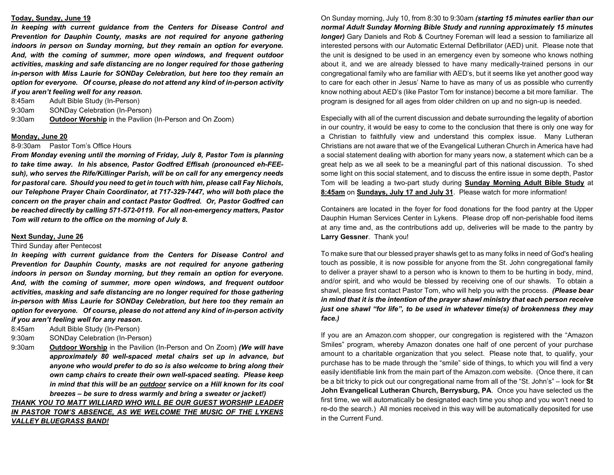#### **Today, Sunday, June 19**

*In keeping with current guidance from the Centers for Disease Control and Prevention for Dauphin County, masks are not required for anyone gathering indoors in person on Sunday morning, but they remain an option for everyone. And, with the coming of summer, more open windows, and frequent outdoor activities, masking and safe distancing are no longer required for those gathering in-person with Miss Laurie for SONDay Celebration, but here too they remain an option for everyone. Of course, please do not attend any kind of in-person activity if you aren't feeling well for any reason.* 

8:45am Adult Bible Study (In-Person)

9:30am SONDay Celebration (In-Person)

9:30am **Outdoor Worship** in the Pavilion (In-Person and On Zoom)

#### **Monday, June 20**

### 8-9:30am Pastor Tom's Office Hours

*From Monday evening until the morning of Friday, July 8, Pastor Tom is planning to take time away. In his absence, Pastor Godfred Effisah (pronounced eh-FEEsuh), who serves the Rife/Killinger Parish, will be on call for any emergency needs for pastoral care. Should you need to get in touch with him, please call Fay Nichols, our Telephone Prayer Chain Coordinator, at 717-329-7447, who will both place the concern on the prayer chain and contact Pastor Godfred. Or, Pastor Godfred can be reached directly by calling 571-572-0119. For all non-emergency matters, Pastor Tom will return to the office on the morning of July 8.*

#### **Next Sunday, June 26**

#### Third Sunday after Pentecost

*In keeping with current guidance from the Centers for Disease Control and Prevention for Dauphin County, masks are not required for anyone gathering indoors in person on Sunday morning, but they remain an option for everyone. And, with the coming of summer, more open windows, and frequent outdoor activities, masking and safe distancing are no longer required for those gathering in-person with Miss Laurie for SONDay Celebration, but here too they remain an option for everyone. Of course, please do not attend any kind of in-person activity if you aren't feeling well for any reason.* 

- 8:45am Adult Bible Study (In-Person)
- 9:30am SONDay Celebration (In-Person)
- 9:30am **Outdoor Worship** in the Pavilion (In-Person and On Zoom) *(We will have approximately 80 well-spaced metal chairs set up in advance, but anyone who would prefer to do so is also welcome to bring along their own camp chairs to create their own well-spaced seating. Please keep in mind that this will be an outdoor service on a Hill known for its cool breezes – be sure to dress warmly and bring a sweater or jacket!)*

# *THANK YOU TO MATT WILLIARD WHO WILL BE OUR GUEST WORSHIP LEADER IN PASTOR TOM'S ABSENCE, AS WE WELCOME THE MUSIC OF THE LYKENS VALLEY BLUEGRASS BAND!*

On Sunday morning, July 10, from 8:30 to 9:30am *(starting 15 minutes earlier than our normal Adult Sunday Morning Bible Study and running approximately 15 minutes longer)* Gary Daniels and Rob & Courtney Foreman will lead a session to familiarize all interested persons with our Automatic External Defibrillator (AED) unit. Please note that the unit is designed to be used in an emergency even by someone who knows nothing about it, and we are already blessed to have many medically-trained persons in our congregational family who are familiar with AED's, but it seems like yet another good way to care for each other in Jesus' Name to have as many of us as possible who currently know nothing about AED's (like Pastor Tom for instance) become a bit more familiar. The program is designed for all ages from older children on up and no sign-up is needed.

Especially with all of the current discussion and debate surrounding the legality of abortion in our country, it would be easy to come to the conclusion that there is only one way for a Christian to faithfully view and understand this complex issue. Many Lutheran Christians are not aware that we of the Evangelical Lutheran Church in America have had a social statement dealing with abortion for many years now, a statement which can be a great help as we all seek to be a meaningful part of this national discussion. To shed some light on this social statement, and to discuss the entire issue in some depth, Pastor Tom will be leading a two-part study during **Sunday Morning Adult Bible Study** at **8:45am** on **Sundays, July 17 and July 31**. Please watch for more information!

Containers are located in the foyer for food donations for the food pantry at the Upper Dauphin Human Services Center in Lykens. Please drop off non-perishable food items at any time and, as the contributions add up, deliveries will be made to the pantry by **Larry Gessner**. Thank you!

To make sure that our blessed prayer shawls get to as many folks in need of God's healing touch as possible, it is now possible for anyone from the St. John congregational family to deliver a prayer shawl to a person who is known to them to be hurting in body, mind, and/or spirit, and who would be blessed by receiving one of our shawls. To obtain a shawl, please first contact Pastor Tom, who will help you with the process. *(Please bear in mind that it is the intention of the prayer shawl ministry that each person receive just one shawl "for life", to be used in whatever time(s) of brokenness they may face.)*

If you are an Amazon.com shopper, our congregation is registered with the "Amazon Smiles" program, whereby Amazon donates one half of one percent of your purchase amount to a charitable organization that you select. Please note that, to qualify, your purchase has to be made through the "smile" side of things, to which you will find a very easily identifiable link from the main part of the Amazon.com website. (Once there, it can be a bit tricky to pick out our congregational name from all of the "St. John's" – look for **St John Evangelical Lutheran Church, Berrysburg, PA**. Once you have selected us the first time, we will automatically be designated each time you shop and you won't need to re-do the search.) All monies received in this way will be automatically deposited for use in the Current Fund.